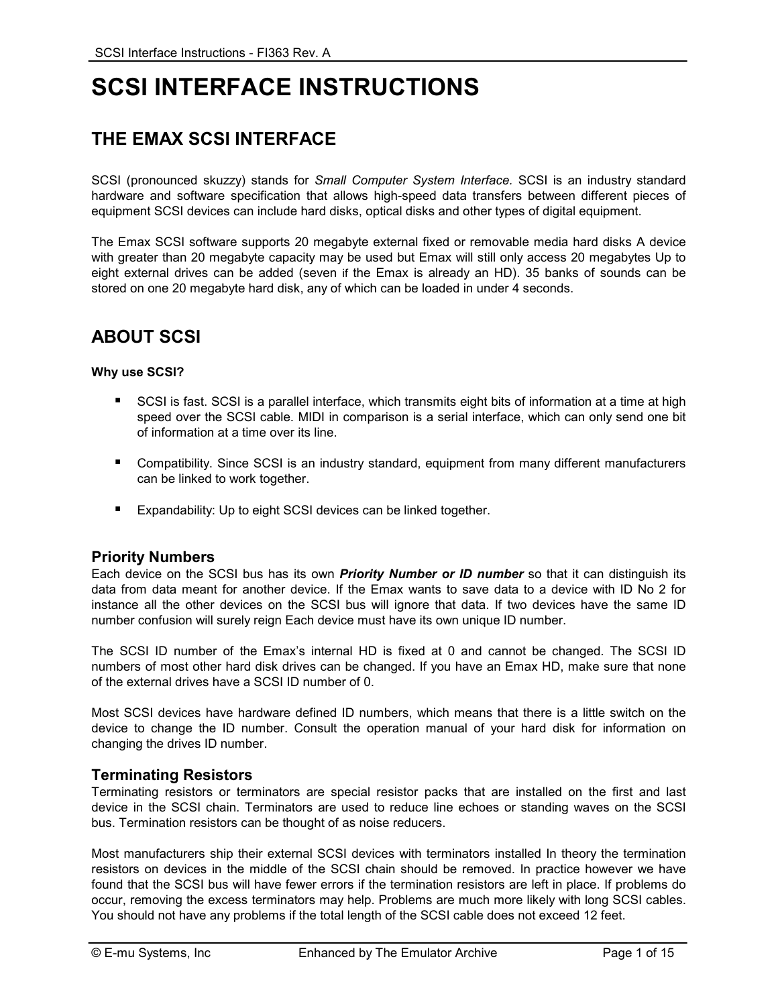# **SCSI INTERFACE INSTRUCTIONS**

## **THE EMAX SCSI INTERFACE**

SCSI (pronounced skuzzy) stands for *Small Computer System Interface.* SCSI is an industry standard hardware and software specification that allows high-speed data transfers between different pieces of equipment SCSI devices can include hard disks, optical disks and other types of digital equipment.

The Emax SCSI software supports 20 megabyte external fixed or removable media hard disks A device with greater than 20 megabyte capacity may be used but Emax will still only access 20 megabytes Up to eight external drives can be added (seven if the Emax is already an HD). 35 banks of sounds can be stored on one 20 megabyte hard disk, any of which can be loaded in under 4 seconds.

## **ABOUT SCSI**

### **Why use SCSI?**

- **SCSI** is fast. SCSI is a parallel interface, which transmits eight bits of information at a time at high speed over the SCSI cable. MIDI in comparison is a serial interface, which can only send one bit of information at a time over its line.
- Compatibility. Since SCSI is an industry standard, equipment from many different manufacturers can be linked to work together.
- **Expandability: Up to eight SCSI devices can be linked together.**

### **Priority Numbers**

Each device on the SCSI bus has its own *Priority Number or ID number* so that it can distinguish its data from data meant for another device. If the Emax wants to save data to a device with ID No 2 for instance all the other devices on the SCSI bus will ignore that data. If two devices have the same ID number confusion will surely reign Each device must have its own unique ID number.

The SCSI ID number of the Emax's internal HD is fixed at 0 and cannot be changed. The SCSI ID numbers of most other hard disk drives can be changed. If you have an Emax HD, make sure that none of the external drives have a SCSI ID number of 0.

Most SCSI devices have hardware defined ID numbers, which means that there is a little switch on the device to change the ID number. Consult the operation manual of your hard disk for information on changing the drives ID number.

### **Terminating Resistors**

Terminating resistors or terminators are special resistor packs that are installed on the first and last device in the SCSI chain. Terminators are used to reduce line echoes or standing waves on the SCSI bus. Termination resistors can be thought of as noise reducers.

Most manufacturers ship their external SCSI devices with terminators installed In theory the termination resistors on devices in the middle of the SCSI chain should be removed. In practice however we have found that the SCSI bus will have fewer errors if the termination resistors are left in place. If problems do occur, removing the excess terminators may help. Problems are much more likely with long SCSI cables. You should not have any problems if the total length of the SCSI cable does not exceed 12 feet.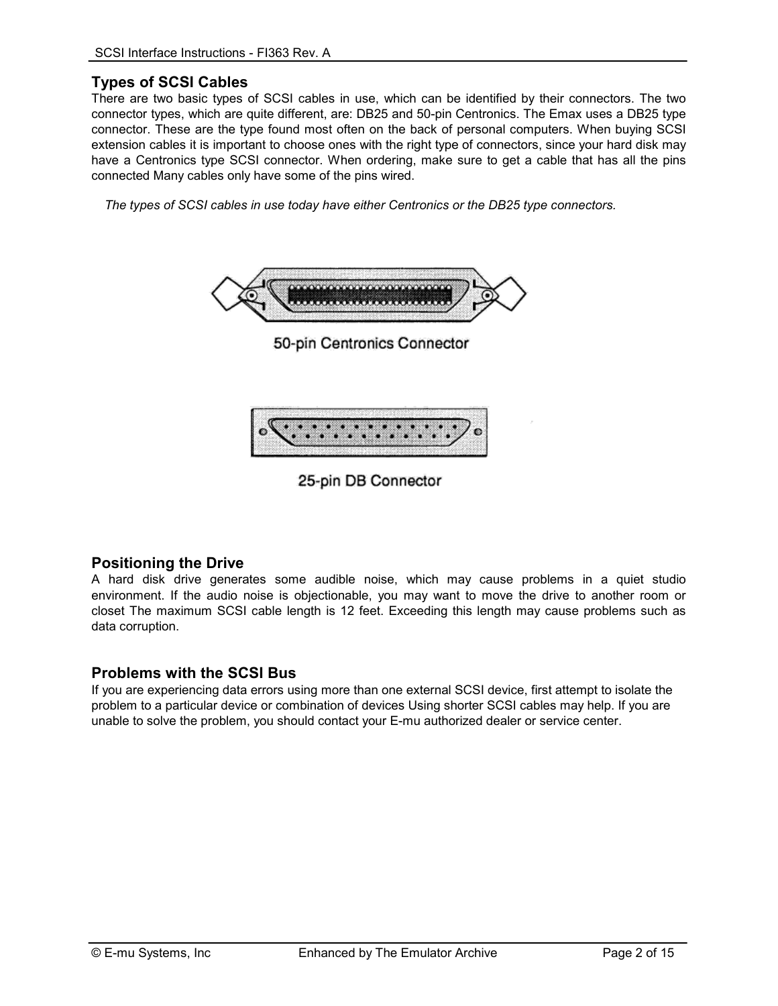### **Types of SCSI Cables**

There are two basic types of SCSI cables in use, which can be identified by their connectors. The two connector types, which are quite different, are: DB25 and 50-pin Centronics. The Emax uses a DB25 type connector. These are the type found most often on the back of personal computers. When buying SCSI extension cables it is important to choose ones with the right type of connectors, since your hard disk may have a Centronics type SCSI connector. When ordering, make sure to get a cable that has all the pins connected Many cables only have some of the pins wired.

 *The types of SCSI cables in use today have either Centronics or the DB25 type connectors.* 



25-pin DB Connector

### **Positioning the Drive**

A hard disk drive generates some audible noise, which may cause problems in a quiet studio environment. If the audio noise is objectionable, you may want to move the drive to another room or closet The maximum SCSI cable length is 12 feet. Exceeding this length may cause problems such as data corruption.

### **Problems with the SCSI Bus**

If you are experiencing data errors using more than one external SCSI device, first attempt to isolate the problem to a particular device or combination of devices Using shorter SCSI cables may help. If you are unable to solve the problem, you should contact your E-mu authorized dealer or service center.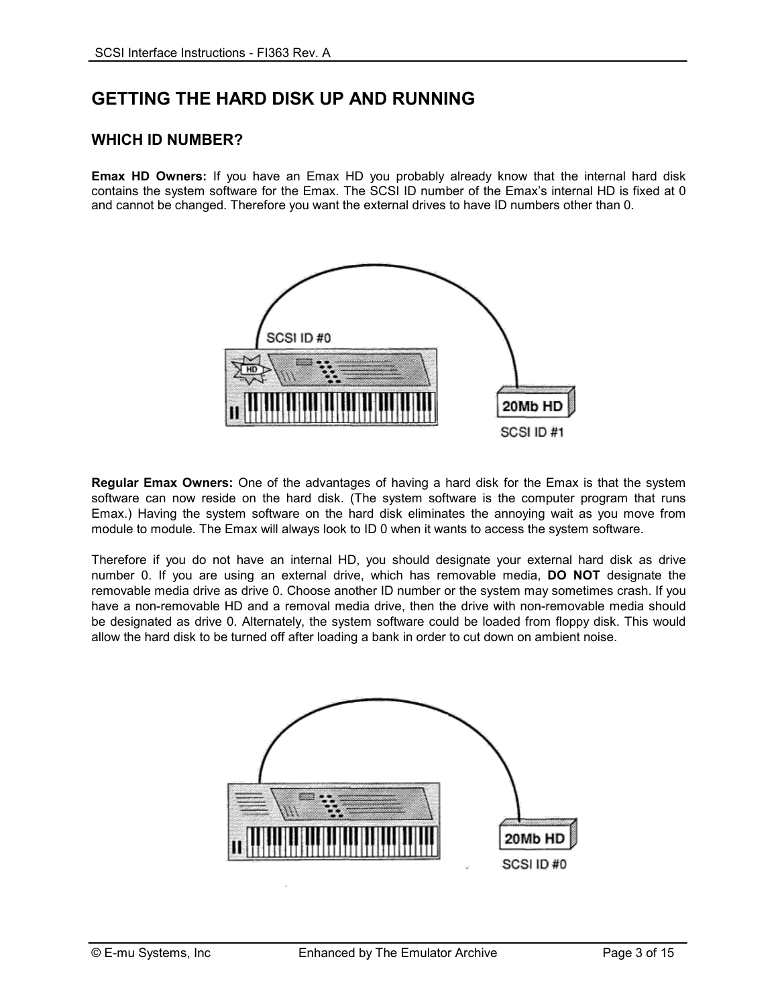## **GETTING THE HARD DISK UP AND RUNNING**

### **WHICH ID NUMBER?**

**Emax HD Owners:** If you have an Emax HD you probably already know that the internal hard disk contains the system software for the Emax. The SCSI ID number of the Emax's internal HD is fixed at 0 and cannot be changed. Therefore you want the external drives to have ID numbers other than 0.



**Regular Emax Owners:** One of the advantages of having a hard disk for the Emax is that the system software can now reside on the hard disk. (The system software is the computer program that runs Emax.) Having the system software on the hard disk eliminates the annoying wait as you move from module to module. The Emax will always look to ID 0 when it wants to access the system software.

Therefore if you do not have an internal HD, you should designate your external hard disk as drive number 0. If you are using an external drive, which has removable media, **DO NOT** designate the removable media drive as drive 0. Choose another ID number or the system may sometimes crash. If you have a non-removable HD and a removal media drive, then the drive with non-removable media should be designated as drive 0. Alternately, the system software could be loaded from floppy disk. This would allow the hard disk to be turned off after loading a bank in order to cut down on ambient noise.

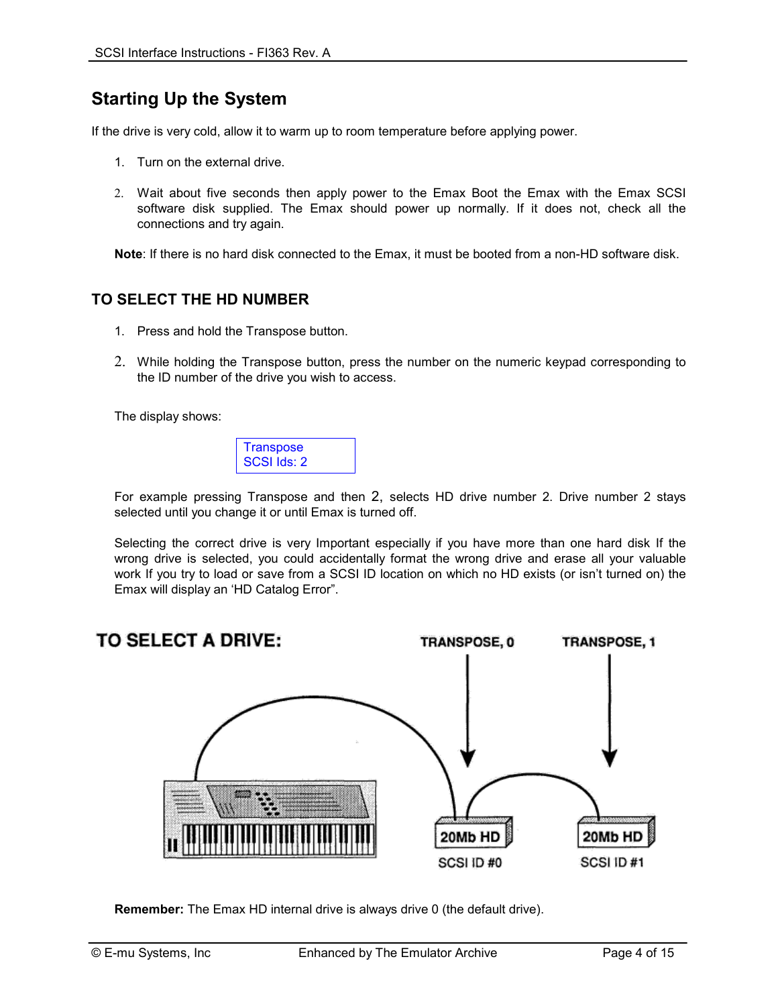## **Starting Up the System**

If the drive is very cold, allow it to warm up to room temperature before applying power.

- 1. Turn on the external drive.
- 2. Wait about five seconds then apply power to the Emax Boot the Emax with the Emax SCSI software disk supplied. The Emax should power up normally. If it does not, check all the connections and try again.

**Note**: If there is no hard disk connected to the Emax, it must be booted from a non-HD software disk.

### **TO SELECT THE HD NUMBER**

- 1. Press and hold the Transpose button.
- 2. While holding the Transpose button, press the number on the numeric keypad corresponding to the ID number of the drive you wish to access.

The display shows:



For example pressing Transpose and then 2, selects HD drive number 2. Drive number 2 stays selected until you change it or until Emax is turned off.

Selecting the correct drive is very Important especially if you have more than one hard disk If the wrong drive is selected, you could accidentally format the wrong drive and erase all your valuable work If you try to load or save from a SCSI ID location on which no HD exists (or isn't turned on) the Emax will display an 'HD Catalog Error".



**Remember:** The Emax HD internal drive is always drive 0 (the default drive).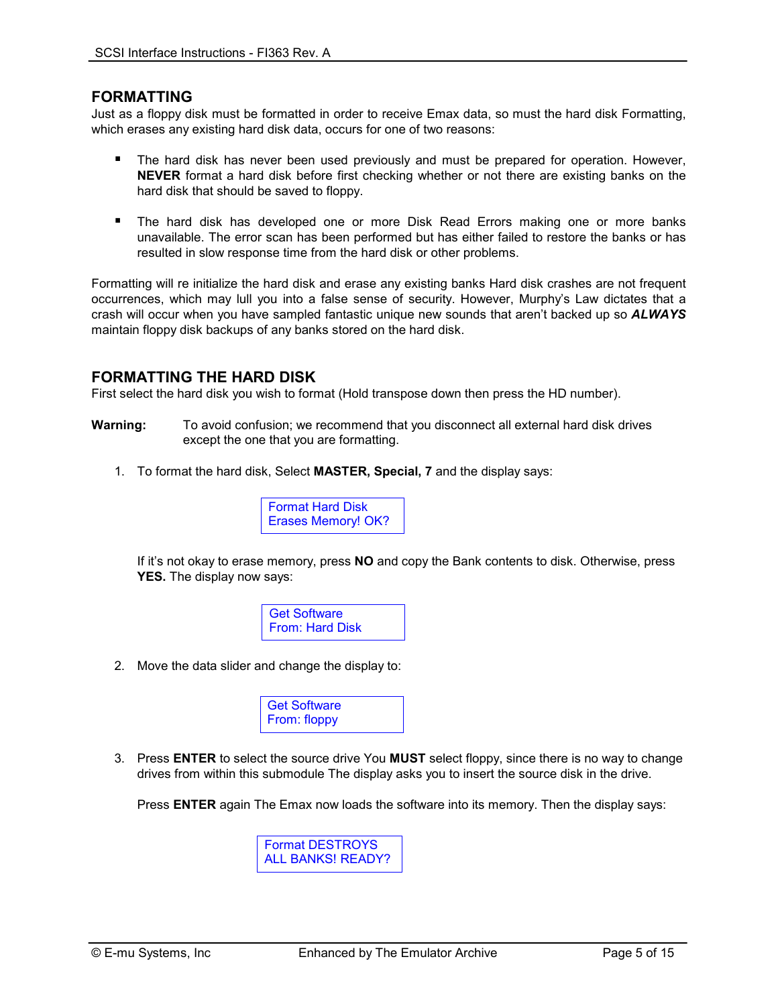### **FORMATTING**

Just as a floppy disk must be formatted in order to receive Emax data, so must the hard disk Formatting, which erases any existing hard disk data, occurs for one of two reasons:

- -The hard disk has never been used previously and must be prepared for operation. However, **NEVER** format a hard disk before first checking whether or not there are existing banks on the hard disk that should be saved to floppy.
- -The hard disk has developed one or more Disk Read Errors making one or more banks unavailable. The error scan has been performed but has either failed to restore the banks or has resulted in slow response time from the hard disk or other problems.

Formatting will re initialize the hard disk and erase any existing banks Hard disk crashes are not frequent occurrences, which may lull you into a false sense of security. However, Murphy's Law dictates that a crash will occur when you have sampled fantastic unique new sounds that aren't backed up so *ALWAYS* maintain floppy disk backups of any banks stored on the hard disk.

### **FORMATTING THE HARD DISK**

First select the hard disk you wish to format (Hold transpose down then press the HD number).

- **Warning:** To avoid confusion; we recommend that you disconnect all external hard disk drives except the one that you are formatting.
	- 1. To format the hard disk, Select **MASTER, Special, 7** and the display says:



If it's not okay to erase memory, press **NO** and copy the Bank contents to disk. Otherwise, press **YES.** The display now says:



2. Move the data slider and change the display to:

| Get Software |  |
|--------------|--|
| From: floppy |  |

3. Press **ENTER** to select the source drive You **MUST** select floppy, since there is no way to change drives from within this submodule The display asks you to insert the source disk in the drive.

Press **ENTER** again The Emax now loads the software into its memory. Then the display says:

Format DESTROYS ALL BANKS! READY?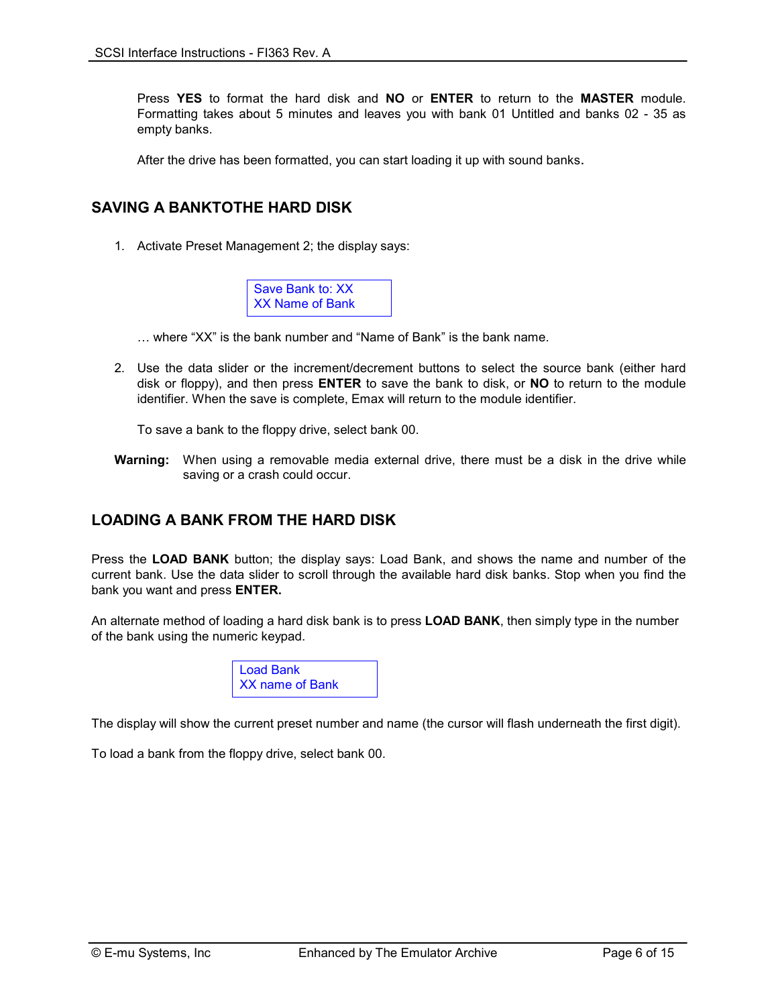Press **YES** to format the hard disk and **NO** or **ENTER** to return to the **MASTER** module. Formatting takes about 5 minutes and leaves you with bank 01 Untitled and banks 02 - 35 as empty banks.

After the drive has been formatted, you can start loading it up with sound banks.

### **SAVING A BANKTOTHE HARD DISK**

1. Activate Preset Management 2; the display says:



- … where "XX" is the bank number and "Name of Bank" is the bank name.
- 2. Use the data slider or the increment/decrement buttons to select the source bank (either hard disk or floppy), and then press **ENTER** to save the bank to disk, or **NO** to return to the module identifier. When the save is complete, Emax will return to the module identifier.

To save a bank to the floppy drive, select bank 00.

**Warning:** When using a removable media external drive, there must be a disk in the drive while saving or a crash could occur.

### **LOADING A BANK FROM THE HARD DISK**

Press the **LOAD BANK** button; the display says: Load Bank, and shows the name and number of the current bank. Use the data slider to scroll through the available hard disk banks. Stop when you find the bank you want and press **ENTER.**

An alternate method of loading a hard disk bank is to press **LOAD BANK**, then simply type in the number of the bank using the numeric keypad.



The display will show the current preset number and name (the cursor will flash underneath the first digit).

To load a bank from the floppy drive, select bank 00.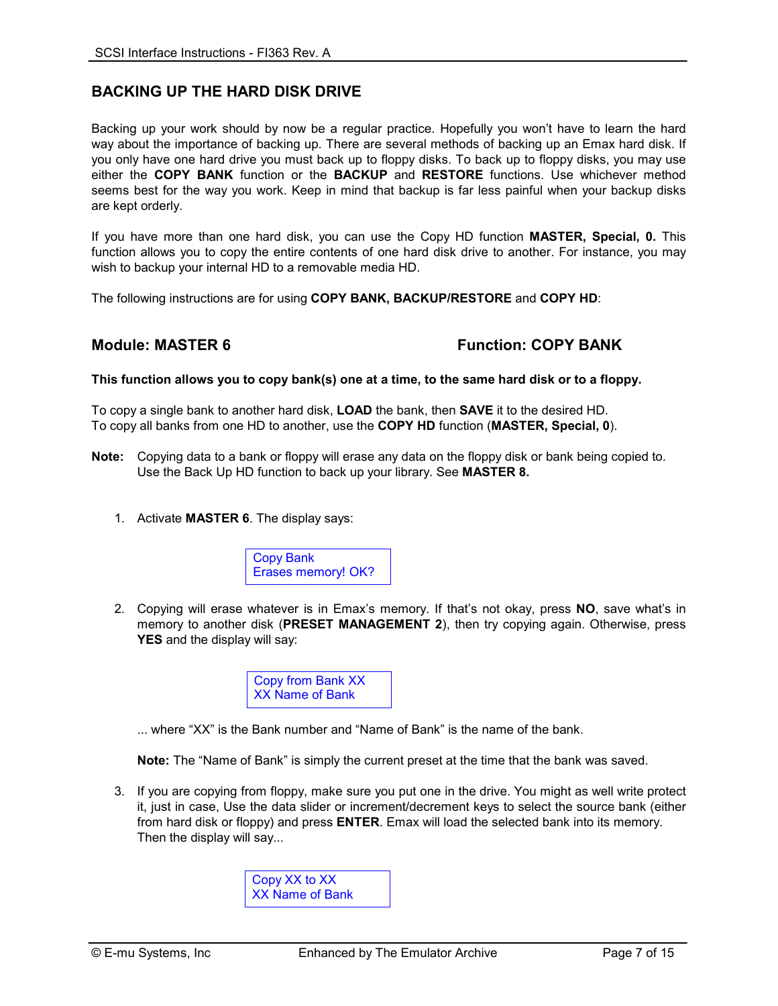### **BACKING UP THE HARD DISK DRIVE**

Backing up your work should by now be a regular practice. Hopefully you won't have to learn the hard way about the importance of backing up. There are several methods of backing up an Emax hard disk. If you only have one hard drive you must back up to floppy disks. To back up to floppy disks, you may use either the **COPY BANK** function or the **BACKUP** and **RESTORE** functions. Use whichever method seems best for the way you work. Keep in mind that backup is far less painful when your backup disks are kept orderly.

If you have more than one hard disk, you can use the Copy HD function **MASTER, Special, 0.** This function allows you to copy the entire contents of one hard disk drive to another. For instance, you may wish to backup your internal HD to a removable media HD.

The following instructions are for using **COPY BANK, BACKUP/RESTORE** and **COPY HD**:

### **Module: MASTER 6 Function: COPY BANK**

### **This function allows you to copy bank(s) one at a time, to the same hard disk or to a floppy.**

To copy a single bank to another hard disk, **LOAD** the bank, then **SAVE** it to the desired HD. To copy all banks from one HD to another, use the **COPY HD** function (**MASTER, Special, 0**).

- **Note:** Copying data to a bank or floppy will erase any data on the floppy disk or bank being copied to. Use the Back Up HD function to back up your library. See **MASTER 8.** 
	- 1. Activate **MASTER 6**. The display says:



2. Copying will erase whatever is in Emax's memory. If that's not okay, press **NO**, save what's in memory to another disk (**PRESET MANAGEMENT 2**), then try copying again. Otherwise, press **YES** and the display will say:

> Copy from Bank XX XX Name of Bank

... where "XX" is the Bank number and "Name of Bank" is the name of the bank.

**Note:** The "Name of Bank" is simply the current preset at the time that the bank was saved.

3. If you are copying from floppy, make sure you put one in the drive. You might as well write protect it, just in case, Use the data slider or increment/decrement keys to select the source bank (either from hard disk or floppy) and press **ENTER**. Emax will load the selected bank into its memory. Then the display will say...

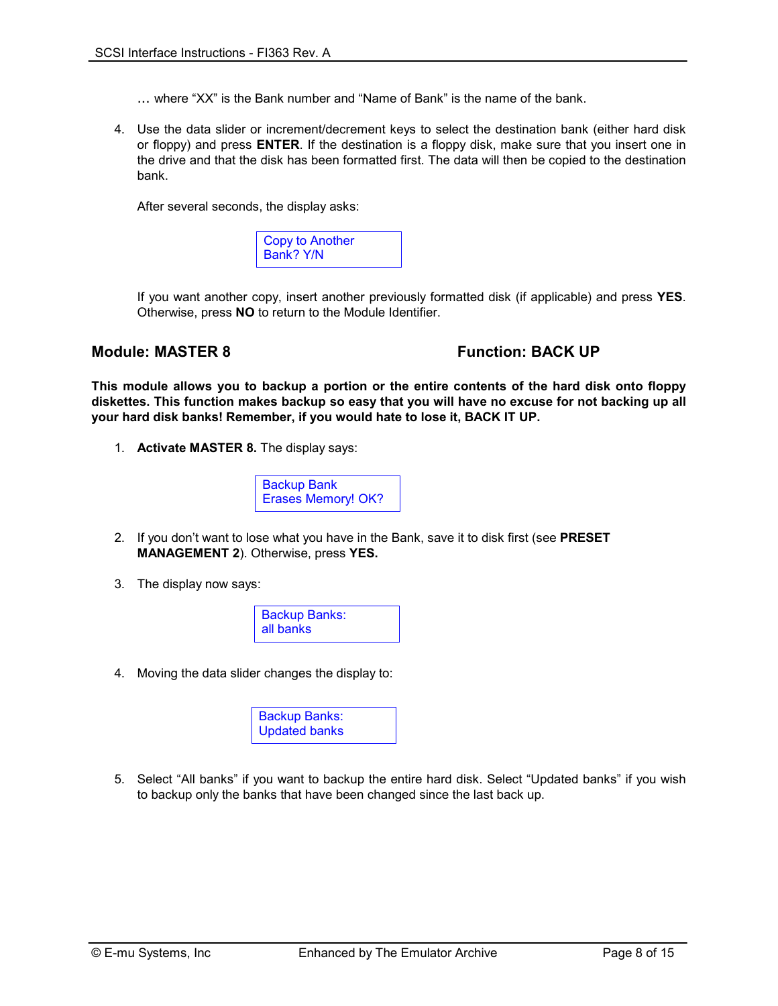- ... where "XX" is the Bank number and "Name of Bank" is the name of the bank.
- 4. Use the data slider or increment/decrement keys to select the destination bank (either hard disk or floppy) and press **ENTER**. If the destination is a floppy disk, make sure that you insert one in the drive and that the disk has been formatted first. The data will then be copied to the destination bank.

After several seconds, the display asks:

| Copy to Another |  |
|-----------------|--|
| Bank? Y/N       |  |

If you want another copy, insert another previously formatted disk (if applicable) and press **YES**. Otherwise, press **NO** to return to the Module Identifier.

### **Module: MASTER 8 The State of State State State State State State State State State State State State State State State State State State State State State State State State State State State State State State State State**

**This module allows you to backup a portion or the entire contents of the hard disk onto floppy diskettes. This function makes backup so easy that you will have no excuse for not backing up all your hard disk banks! Remember, if you would hate to lose it, BACK IT UP.** 

1. **Activate MASTER 8.** The display says:



- 2. If you don't want to lose what you have in the Bank, save it to disk first (see **PRESET MANAGEMENT 2**). Otherwise, press **YES.**
- 3. The display now says:



4. Moving the data slider changes the display to:

| <b>Backup Banks:</b> |  |
|----------------------|--|
| <b>Updated banks</b> |  |

5. Select "All banks" if you want to backup the entire hard disk. Select "Updated banks" if you wish to backup only the banks that have been changed since the last back up.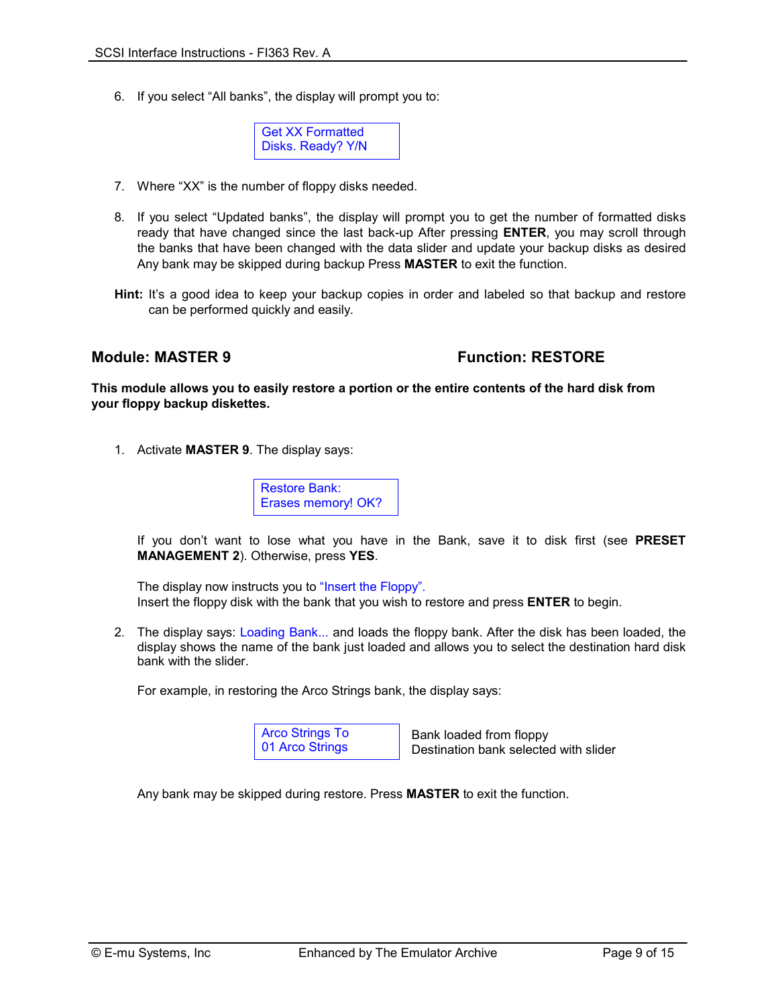6. If you select "All banks", the display will prompt you to:



- 7. Where "XX" is the number of floppy disks needed.
- 8. If you select "Updated banks", the display will prompt you to get the number of formatted disks ready that have changed since the last back-up After pressing **ENTER**, you may scroll through the banks that have been changed with the data slider and update your backup disks as desired Any bank may be skipped during backup Press **MASTER** to exit the function.
- **Hint:** It's a good idea to keep your backup copies in order and labeled so that backup and restore can be performed quickly and easily.

### **Module: MASTER 9 The Contract Example 20 Function: RESTORE**

**This module allows you to easily restore a portion or the entire contents of the hard disk from your floppy backup diskettes.** 

1. Activate **MASTER 9**. The display says:

Restore Bank: Erases memory! OK?

If you don't want to lose what you have in the Bank, save it to disk first (see **PRESET MANAGEMENT 2**). Otherwise, press **YES**.

 The display now instructs you to "Insert the Floppy". Insert the floppy disk with the bank that you wish to restore and press **ENTER** to begin.

2. The display says: Loading Bank... and loads the floppy bank. After the disk has been loaded, the display shows the name of the bank just loaded and allows you to select the destination hard disk bank with the slider.

For example, in restoring the Arco Strings bank, the display says:

Arco Strings To 01 Arco Strings

 Bank loaded from floppy Destination bank selected with slider

Any bank may be skipped during restore. Press **MASTER** to exit the function.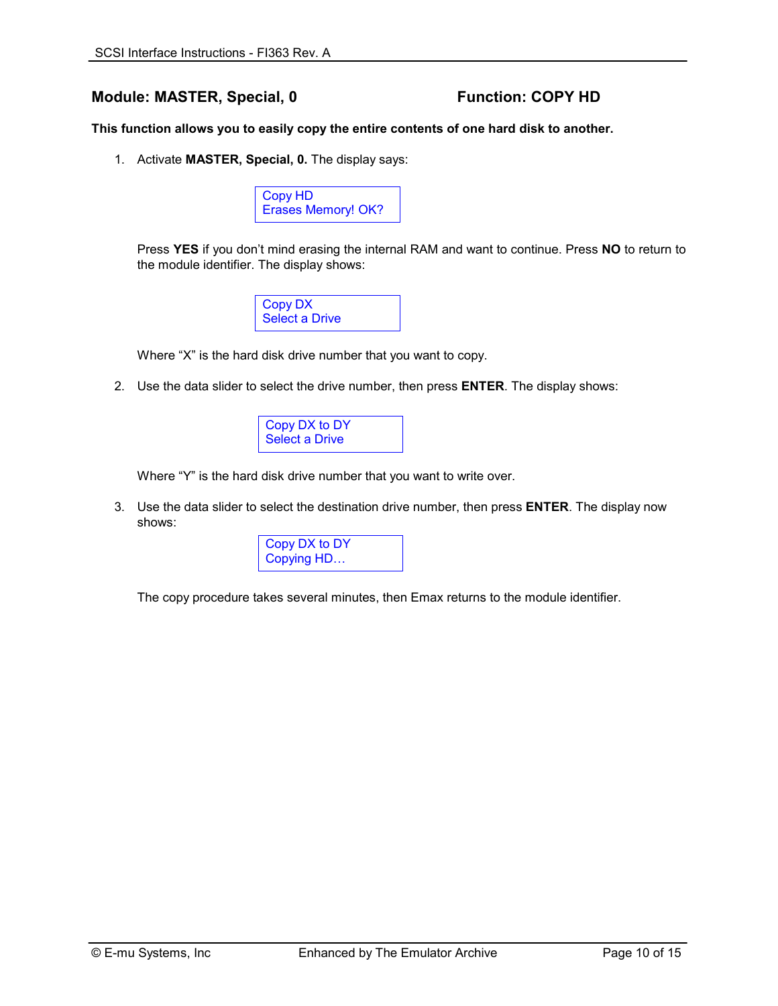### Module: MASTER, Special, 0 Function: COPY HD

**This function allows you to easily copy the entire contents of one hard disk to another.** 

1. Activate **MASTER, Special, 0.** The display says:



Press **YES** if you don't mind erasing the internal RAM and want to continue. Press **NO** to return to the module identifier. The display shows:



Where "X" is the hard disk drive number that you want to copy.

2. Use the data slider to select the drive number, then press **ENTER**. The display shows:



Where "Y" is the hard disk drive number that you want to write over.

3. Use the data slider to select the destination drive number, then press **ENTER**. The display now shows:

| Copy DX to DY |  |
|---------------|--|
| Copying HD    |  |

The copy procedure takes several minutes, then Emax returns to the module identifier.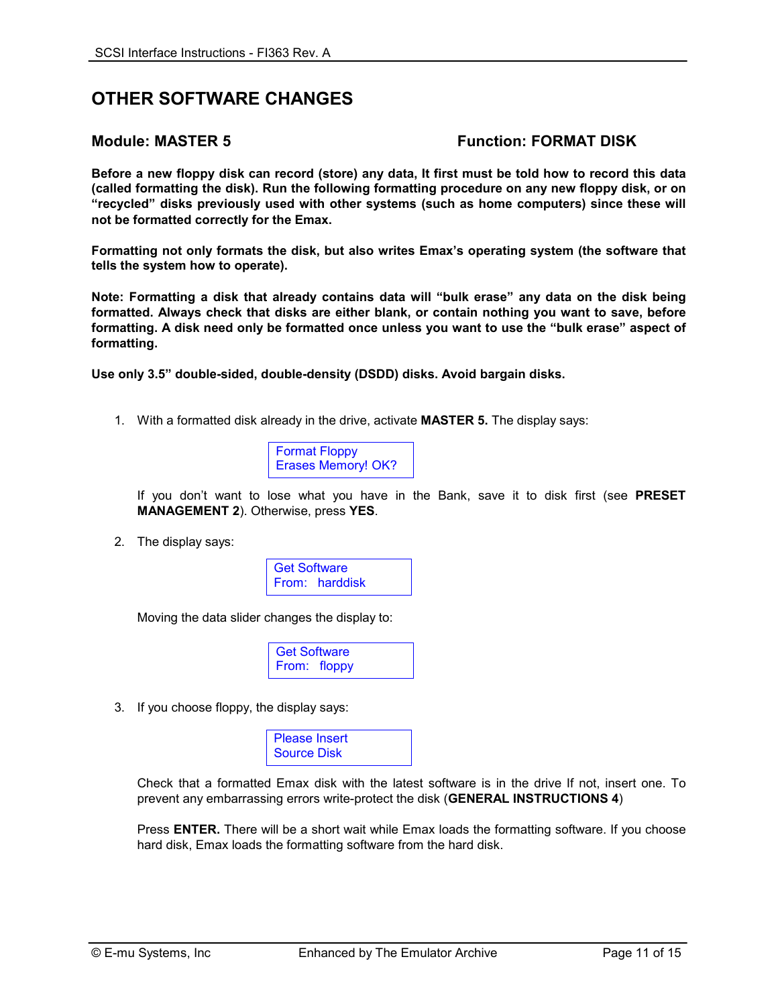## **OTHER SOFTWARE CHANGES**

### **Module: MASTER 5 Function: FORMAT DISK**

**Before a new floppy disk can record (store) any data, It first must be told how to record this data (called formatting the disk). Run the following formatting procedure on any new floppy disk, or on "recycled" disks previously used with other systems (such as home computers) since these will not be formatted correctly for the Emax.** 

**Formatting not only formats the disk, but also writes Emax's operating system (the software that tells the system how to operate).** 

**Note: Formatting a disk that already contains data will "bulk erase" any data on the disk being formatted. Always check that disks are either blank, or contain nothing you want to save, before formatting. A disk need only be formatted once unless you want to use the "bulk erase" aspect of formatting.** 

**Use only 3.5" double-sided, double-density (DSDD) disks. Avoid bargain disks.** 

1. With a formatted disk already in the drive, activate **MASTER 5.** The display says:



If you don't want to lose what you have in the Bank, save it to disk first (see **PRESET MANAGEMENT 2**). Otherwise, press **YES**.

2. The display says:



Moving the data slider changes the display to:



3. If you choose floppy, the display says:



Check that a formatted Emax disk with the latest software is in the drive If not, insert one. To prevent any embarrassing errors write-protect the disk (**GENERAL INSTRUCTIONS 4**)

Press **ENTER.** There will be a short wait while Emax loads the formatting software. If you choose hard disk, Emax loads the formatting software from the hard disk.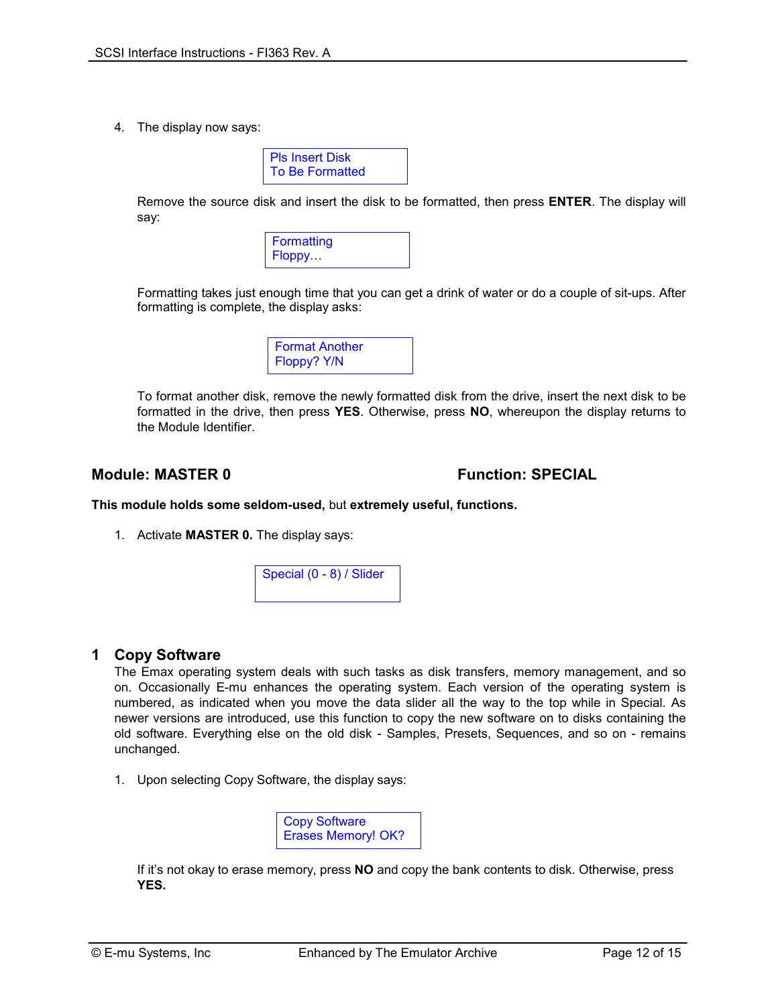4. The display now says:

| Pls Insert Disk |  |
|-----------------|--|
| To Be Formatted |  |

Remove the source disk and insert the disk to be formatted, then press **ENTER**. The display will say:



Formatting takes just enough time that you can get a drink of water or do a couple of sit-ups. After formatting is complete, the display asks:



To format another disk, remove the newly formatted disk from the drive, insert the next disk to be formatted in the drive, then press **YES**. Otherwise, press **NO**, whereupon the display returns to the Module Identifier.

### **Module: MASTER 0 CONSUMING PROPERTY CONSUMING PECIAL PROPERTY OF SPECIAL**

**This module holds some seldom-used,** but **extremely useful, functions.** 

1. Activate **MASTER 0.** The display says:



### **1 Copy Software**

 The Emax operating system deals with such tasks as disk transfers, memory management, and so on. Occasionally E-mu enhances the operating system. Each version of the operating system is numbered, as indicated when you move the data slider all the way to the top while in Special. As newer versions are introduced, use this function to copy the new software on to disks containing the old software. Everything else on the old disk - Samples, Presets, Sequences, and so on - remains unchanged.

1. Upon selecting Copy Software, the display says:



 If it's not okay to erase memory, press **NO** and copy the bank contents to disk. Otherwise, press  **YES.**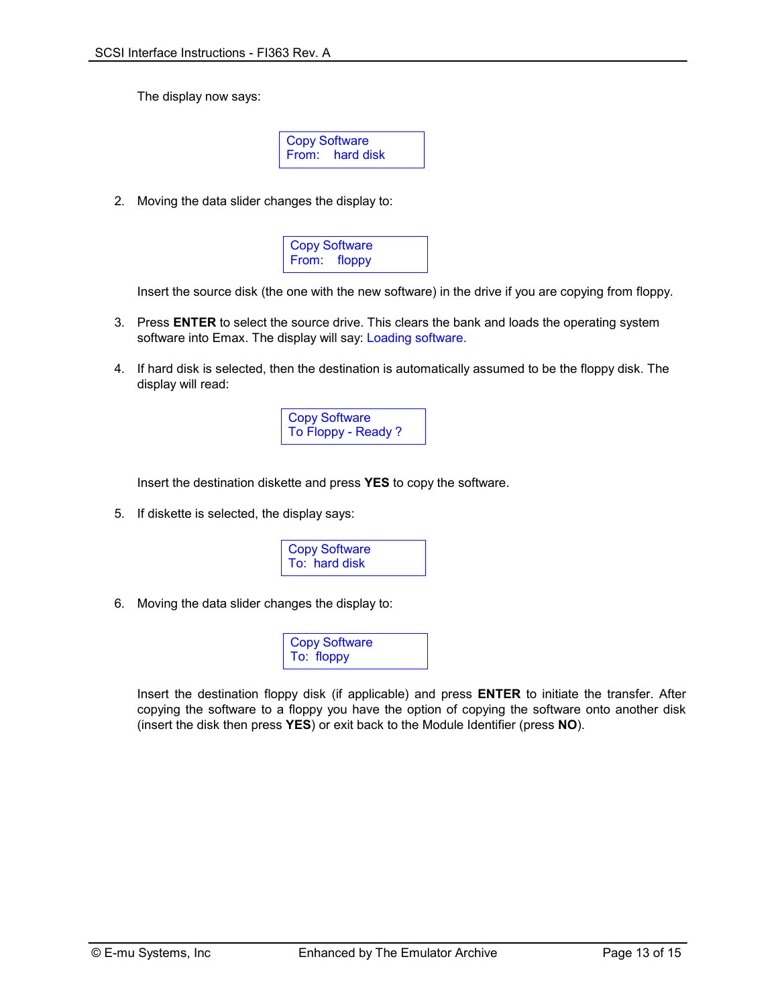The display now says:

Copy Software From: hard disk

2. Moving the data slider changes the display to:



Insert the source disk (the one with the new software) in the drive if you are copying from floppy.

- 3. Press **ENTER** to select the source drive. This clears the bank and loads the operating system software into Emax. The display will say: Loading software.
- 4. If hard disk is selected, then the destination is automatically assumed to be the floppy disk. The display will read:



Insert the destination diskette and press **YES** to copy the software.

5. If diskette is selected, the display says:



6. Moving the data slider changes the display to:



Insert the destination floppy disk (if applicable) and press **ENTER** to initiate the transfer. After copying the software to a floppy you have the option of copying the software onto another disk (insert the disk then press **YES**) or exit back to the Module Identifier (press **NO**).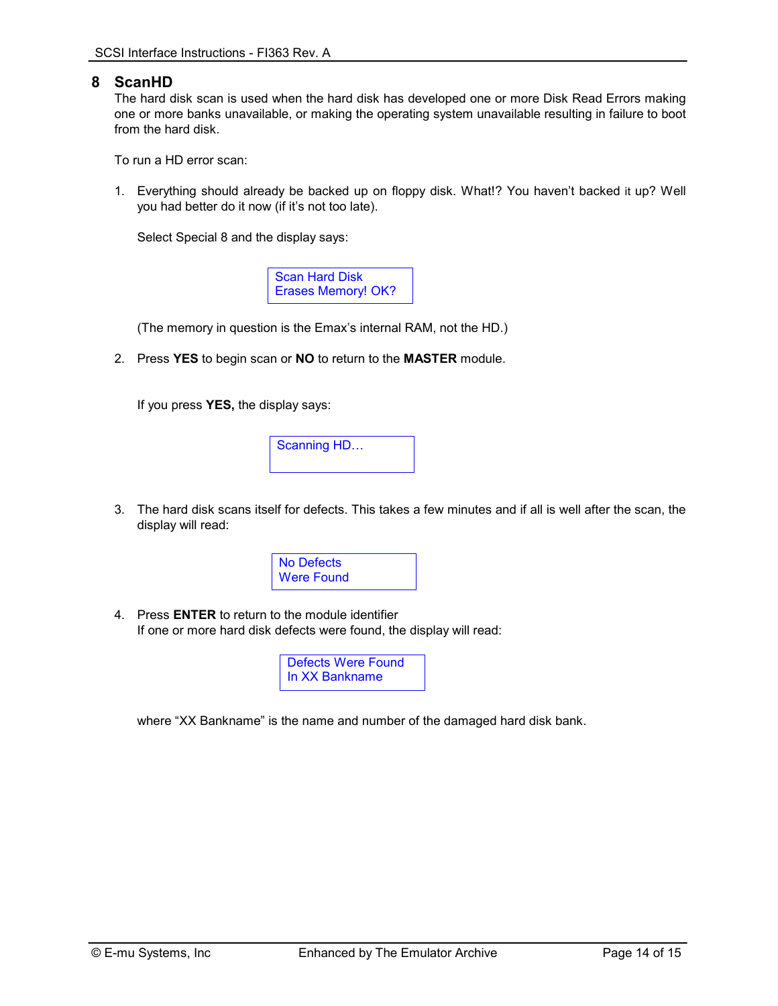### **8 ScanHD**

 The hard disk scan is used when the hard disk has developed one or more Disk Read Errors making one or more banks unavailable, or making the operating system unavailable resulting in failure to boot from the hard disk.

To run a HD error scan:

1. Everything should already be backed up on floppy disk. What!? You haven't backed it up? Well you had better do it now (if it's not too late).

Select Special 8 and the display says:

Scan Hard Disk Erases Memory! OK?

(The memory in question is the Emax's internal RAM, not the HD.)

2. Press **YES** to begin scan or **NO** to return to the **MASTER** module.

If you press **YES,** the display says:



3. The hard disk scans itself for defects. This takes a few minutes and if all is well after the scan, the display will read:



4. Press **ENTER** to return to the module identifier If one or more hard disk defects were found, the display will read:

> Defects Were Found In XX Bankname

where "XX Bankname" is the name and number of the damaged hard disk bank.